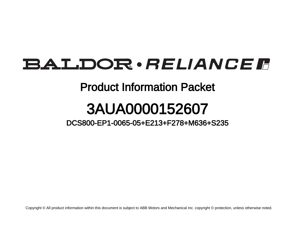## BALDOR · RELIANCE F

## Product Information Packet

## 3AUA0000152607

DCS800-EP1-0065-05+E213+F278+M636+S235

Copyright © All product information within this document is subject to ABB Motors and Mechanical Inc. copyright © protection, unless otherwise noted.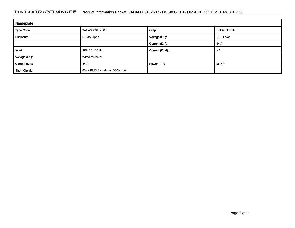## **BALDOR · RELIANCE F** Product Information Packet: 3AUA0000152607 - DCS800-EP1-0065-05+E213+F278+M636+S235

| Nameplate             |                               |                 |                |
|-----------------------|-------------------------------|-----------------|----------------|
| <b>Type Code:</b>     | 3AUA0000152607                | Output:         | Not Applicable |
| Enclosure:            | NEMA Open                     | Voltage (U2):   | $0$ U1 Vac     |
|                       |                               | Current (I2n):  | 54 A           |
| Input:                | 3PH 5060 Hz                   | Current (I2hd): | <b>NA</b>      |
| Voltage (U1):         | Wired for 240V                |                 |                |
| Current (I1n):        | 44 A                          | Power (Pn):     | 15 HP          |
| <b>Short Circuit:</b> | 65Ka RMS Symetrical, 500V max |                 |                |